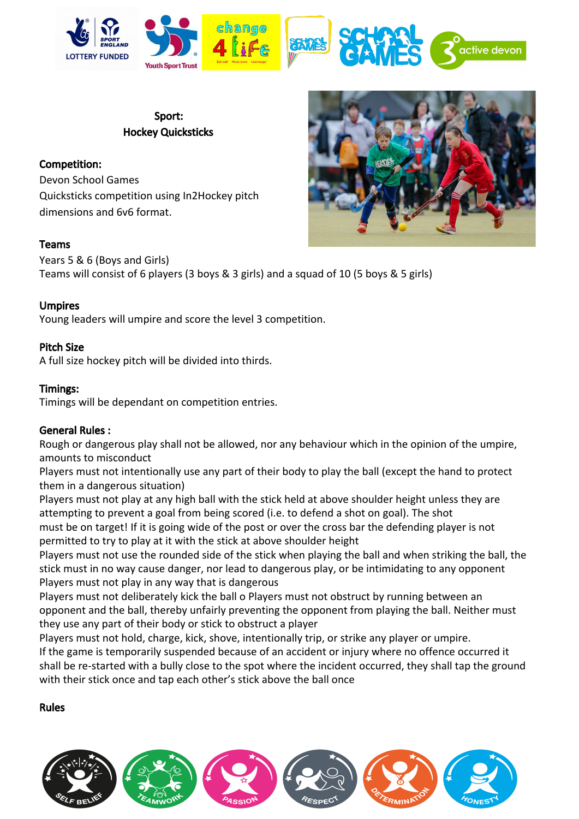

Sport: Hockey Quicksticks

# Competition:

Devon School Games Quicksticks competition using In2Hockey pitch dimensions and 6v6 format.

## Teams

Years 5 & 6 (Boys and Girls) Teams will consist of 6 players (3 boys & 3 girls) and a squad of 10 (5 boys & 5 girls)

## Umpires

Young leaders will umpire and score the level 3 competition.

### Pitch Size

A full size hockey pitch will be divided into thirds.

### Timings:

Timings will be dependant on competition entries.

#### General Rules :

Rough or dangerous play shall not be allowed, nor any behaviour which in the opinion of the umpire, amounts to misconduct

Players must not intentionally use any part of their body to play the ball (except the hand to protect them in a dangerous situation)

Players must not play at any high ball with the stick held at above shoulder height unless they are attempting to prevent a goal from being scored (i.e. to defend a shot on goal). The shot must be on target! If it is going wide of the post or over the cross bar the defending player is not permitted to try to play at it with the stick at above shoulder height

Players must not use the rounded side of the stick when playing the ball and when striking the ball, the stick must in no way cause danger, nor lead to dangerous play, or be intimidating to any opponent Players must not play in any way that is dangerous

Players must not deliberately kick the ball o Players must not obstruct by running between an opponent and the ball, thereby unfairly preventing the opponent from playing the ball. Neither must they use any part of their body or stick to obstruct a player

Players must not hold, charge, kick, shove, intentionally trip, or strike any player or umpire. If the game is temporarily suspended because of an accident or injury where no offence occurred it shall be re-started with a bully close to the spot where the incident occurred, they shall tap the ground with their stick once and tap each other's stick above the ball once

#### Rules



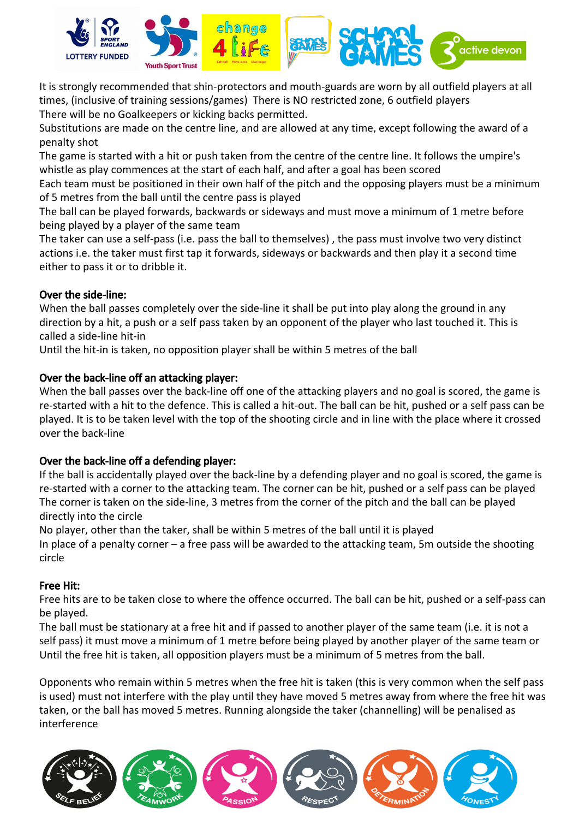

It is strongly recommended that shin-protectors and mouth-guards are worn by all outfield players at all times, (inclusive of training sessions/games) There is NO restricted zone, 6 outfield players There will be no Goalkeepers or kicking backs permitted.

Substitutions are made on the centre line, and are allowed at any time, except following the award of a penalty shot

The game is started with a hit or push taken from the centre of the centre line. It follows the umpire's whistle as play commences at the start of each half, and after a goal has been scored

Each team must be positioned in their own half of the pitch and the opposing players must be a minimum of 5 metres from the ball until the centre pass is played

The ball can be played forwards, backwards or sideways and must move a minimum of 1 metre before being played by a player of the same team

The taker can use a self-pass (i.e. pass the ball to themselves) , the pass must involve two very distinct actions i.e. the taker must first tap it forwards, sideways or backwards and then play it a second time either to pass it or to dribble it.

# Over the side-line:

When the ball passes completely over the side-line it shall be put into play along the ground in any direction by a hit, a push or a self pass taken by an opponent of the player who last touched it. This is called a side-line hit-in

Until the hit-in is taken, no opposition player shall be within 5 metres of the ball

# Over the back-line off an attacking player:

When the ball passes over the back-line off one of the attacking players and no goal is scored, the game is re-started with a hit to the defence. This is called a hit-out. The ball can be hit, pushed or a self pass can be played. It is to be taken level with the top of the shooting circle and in line with the place where it crossed over the back-line

## Over the back-line off a defending player:

If the ball is accidentally played over the back-line by a defending player and no goal is scored, the game is re-started with a corner to the attacking team. The corner can be hit, pushed or a self pass can be played The corner is taken on the side-line, 3 metres from the corner of the pitch and the ball can be played directly into the circle

No player, other than the taker, shall be within 5 metres of the ball until it is played

In place of a penalty corner – a free pass will be awarded to the attacking team, 5m outside the shooting circle

## Free Hit:

Free hits are to be taken close to where the offence occurred. The ball can be hit, pushed or a self-pass can be played.

The ball must be stationary at a free hit and if passed to another player of the same team (i.e. it is not a self pass) it must move a minimum of 1 metre before being played by another player of the same team or Until the free hit is taken, all opposition players must be a minimum of 5 metres from the ball.

Opponents who remain within 5 metres when the free hit is taken (this is very common when the self pass is used) must not interfere with the play until they have moved 5 metres away from where the free hit was taken, or the ball has moved 5 metres. Running alongside the taker (channelling) will be penalised as interference